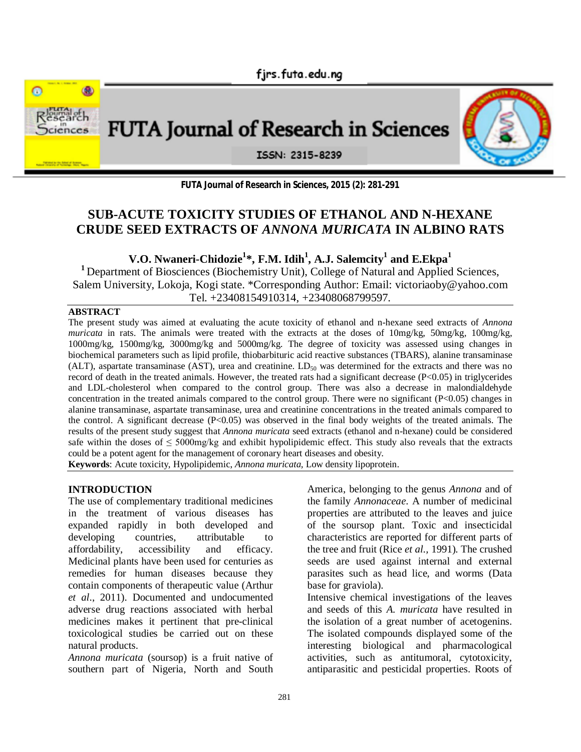



**FUTA Journal of Research in Sciences, 2015 (2): 281-291**

# **SUB-ACUTE TOXICITY STUDIES OF ETHANOL AND N-HEXANE CRUDE SEED EXTRACTS OF** *ANNONA MURICATA* **IN ALBINO RATS**

**V.O. Nwaneri-Chidozie<sup>1</sup> \*, F.M. Idih<sup>1</sup> , A.J. Salemcity<sup>1</sup> and E.Ekpa<sup>1</sup>**

<sup>1</sup> Department of Biosciences (Biochemistry Unit), College of Natural and Applied Sciences, Salem University, Lokoja, Kogi state. \*Corresponding Author: Email: victoriaoby@yahoo.com Tel. +23408154910314, +23408068799597.

# **ABSTRACT**

The present study was aimed at evaluating the acute toxicity of ethanol and n-hexane seed extracts of *Annona muricata* in rats. The animals were treated with the extracts at the doses of 10mg/kg, 50mg/kg, 100mg/kg, 1000mg/kg, 1500mg/kg, 3000mg/kg and 5000mg/kg. The degree of toxicity was assessed using changes in biochemical parameters such as lipid profile, thiobarbituric acid reactive substances (TBARS), alanine transaminase (ALT), aspartate transaminase (AST), urea and creatinine.  $LD_{50}$  was determined for the extracts and there was no record of death in the treated animals. However, the treated rats had a significant decrease (P<0.05) in triglycerides and LDL-cholesterol when compared to the control group. There was also a decrease in malondialdehyde concentration in the treated animals compared to the control group. There were no significant (P<0.05) changes in alanine transaminase, aspartate transaminase, urea and creatinine concentrations in the treated animals compared to the control. A significant decrease (P<0.05) was observed in the final body weights of the treated animals. The results of the present study suggest that *Annona muricata* seed extracts (ethanol and n-hexane) could be considered safe within the doses of  $\leq 5000$ mg/kg and exhibit hypolipidemic effect. This study also reveals that the extracts could be a potent agent for the management of coronary heart diseases and obesity.

**Keywords**: Acute toxicity, Hypolipidemic, *Annona muricata,* Low density lipoprotein.

#### **INTRODUCTION**

The use of complementary traditional medicines in the treatment of various diseases has expanded rapidly in both developed and developing countries, attributable to affordability, accessibility and efficacy. Medicinal plants have been used for centuries as remedies for human diseases because they contain components of therapeutic value (Arthur *et al*., 2011). Documented and undocumented adverse drug reactions associated with herbal medicines makes it pertinent that pre-clinical toxicological studies be carried out on these natural products.

*Annona muricata* (soursop) is a fruit native of southern part of Nigeria, North and South America, belonging to the genus *Annona* and of the family *Annonaceae*. A number of medicinal properties are attributed to the leaves and juice of the soursop plant. Toxic and insecticidal characteristics are reported for different parts of the tree and fruit (Rice *et al.,* 1991). The crushed seeds are used against internal and external parasites such as head lice, and worms (Data base for graviola).

Intensive chemical investigations of the leaves and seeds of this *A. muricata* have resulted in the isolation of a great number of acetogenins. The isolated compounds displayed some of the interesting biological and pharmacological activities, such as antitumoral, cytotoxicity, antiparasitic and pesticidal properties. Roots of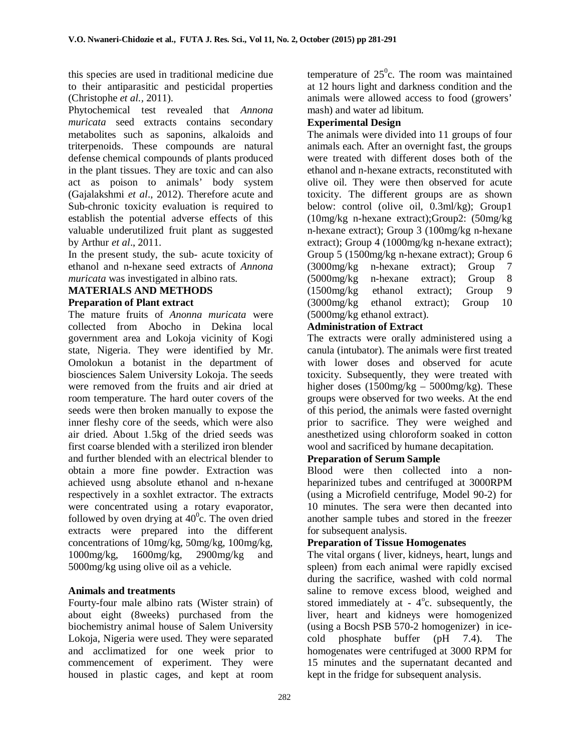this species are used in traditional medicine due to their antiparasitic and pesticidal properties (Christophe *et al.,* 2011).

Phytochemical test revealed that *Annona muricata* seed extracts contains secondary metabolites such as saponins, alkaloids and triterpenoids. These compounds are natural defense chemical compounds of plants produced in the plant tissues. They are toxic and can also act as poison to animals' body system (Gajalakshmi *et al*., 2012). Therefore acute and Sub-chronic toxicity evaluation is required to establish the potential adverse effects of this valuable underutilized fruit plant as suggested by Arthur *et al*., 2011.

In the present study, the sub- acute toxicity of ethanol and n-hexane seed extracts of *Annona muricata* was investigated in albino rats.

# **MATERIALS AND METHODS Preparation of Plant extract**

# The mature fruits of *Anonna muricata* were

collected from Abocho in Dekina local government area and Lokoja vicinity of Kogi state, Nigeria. They were identified by Mr. Omolokun a botanist in the department of biosciences Salem University Lokoja. The seeds were removed from the fruits and air dried at room temperature. The hard outer covers of the seeds were then broken manually to expose the inner fleshy core of the seeds, which were also air dried. About 1.5kg of the dried seeds was first coarse blended with a sterilized iron blender and further blended with an electrical blender to obtain a more fine powder. Extraction was achieved usng absolute ethanol and n-hexane respectively in a soxhlet extractor. The extracts were concentrated using a rotary evaporator, followed by oven drying at  $40^{\circ}$ c. The oven dried extracts were prepared into the different concentrations of 10mg/kg, 50mg/kg, 100mg/kg, 1000mg/kg, 1600mg/kg, 2900mg/kg and 5000mg/kg using olive oil as a vehicle.

# **Animals and treatments**

Fourty-four male albino rats (Wister strain) of about eight (8weeks) purchased from the biochemistry animal house of Salem University Lokoja, Nigeria were used. They were separated and acclimatized for one week prior to commencement of experiment. They were housed in plastic cages, and kept at room

temperature of  $25^\circ$ c. The room was maintained at 12 hours light and darkness condition and the animals were allowed access to food (growers' mash) and water ad libitum.

# **Experimental Design**

The animals were divided into 11 groups of four animals each. After an overnight fast, the groups were treated with different doses both of the ethanol and n-hexane extracts, reconstituted with olive oil. They were then observed for acute toxicity. The different groups are as shown below: control (olive oil, 0.3ml/kg); Group1 (10mg/kg n-hexane extract);Group2: (50mg/kg n-hexane extract); Group 3 (100mg/kg n-hexane extract); Group 4 (1000mg/kg n-hexane extract); Group 5 (1500mg/kg n-hexane extract); Group 6 (3000mg/kg n-hexane extract); Group 7 (5000mg/kg n-hexane extract); Group 8 (1500mg/kg ethanol extract); Group 9 (3000mg/kg ethanol extract); Group 10 (5000mg/kg ethanol extract).

# **Administration of Extract**

The extracts were orally administered using a canula (intubator). The animals were first treated with lower doses and observed for acute toxicity. Subsequently, they were treated with higher doses (1500mg/kg – 5000mg/kg). These groups were observed for two weeks. At the end of this period, the animals were fasted overnight prior to sacrifice. They were weighed and anesthetized using chloroform soaked in cotton wool and sacrificed by humane decapitation.

# **Preparation of Serum Sample**

Blood were then collected into a nonheparinized tubes and centrifuged at 3000RPM (using a Microfield centrifuge, Model 90-2) for 10 minutes. The sera were then decanted into another sample tubes and stored in the freezer for subsequent analysis.

#### **Preparation of Tissue Homogenates**

The vital organs ( liver, kidneys, heart, lungs and spleen) from each animal were rapidly excised during the sacrifice, washed with cold normal saline to remove excess blood, weighed and stored immediately at -  $4^{\circ}$ c. subsequently, the liver, heart and kidneys were homogenized (using a Bocsh PSB 570-2 homogenizer) in icecold phosphate buffer (pH 7.4). The homogenates were centrifuged at 3000 RPM for 15 minutes and the supernatant decanted and kept in the fridge for subsequent analysis.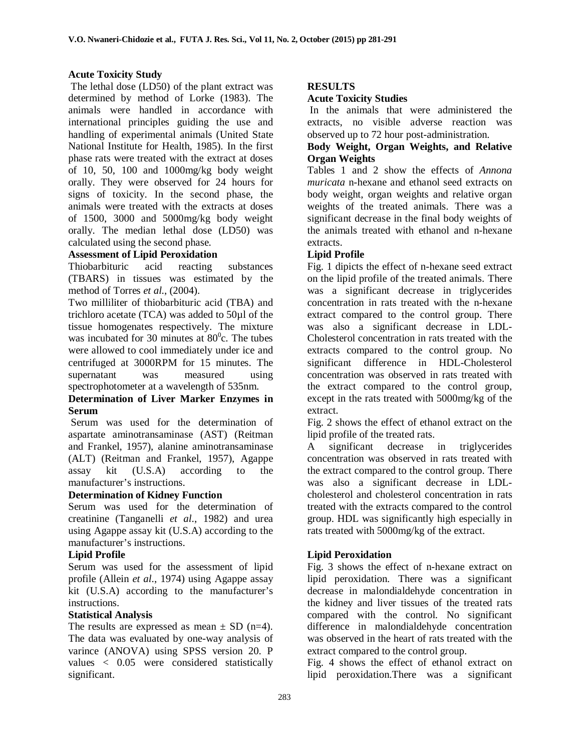# **Acute Toxicity Study**

The lethal dose (LD50) of the plant extract was determined by method of Lorke (1983). The animals were handled in accordance with international principles guiding the use and handling of experimental animals (United State National Institute for Health, 1985). In the first phase rats were treated with the extract at doses of 10, 50, 100 and 1000mg/kg body weight orally. They were observed for 24 hours for signs of toxicity. In the second phase, the animals were treated with the extracts at doses of 1500, 3000 and 5000mg/kg body weight orally. The median lethal dose (LD50) was calculated using the second phase.

# **Assessment of Lipid Peroxidation**

Thiobarbituric acid reacting substances (TBARS) in tissues was estimated by the method of Torres *et al*., (2004).

Two milliliter of thiobarbituric acid (TBA) and trichloro acetate (TCA) was added to 50µl of the tissue homogenates respectively. The mixture was incubated for 30 minutes at  $80^{\circ}$ c. The tubes were allowed to cool immediately under ice and centrifuged at 3000RPM for 15 minutes. The supernatant was measured using spectrophotometer at a wavelength of 535nm.

# **Determination of Liver Marker Enzymes in Serum**

Serum was used for the determination of aspartate aminotransaminase (AST) (Reitman and Frankel, 1957), alanine aminotransaminase (ALT) (Reitman and Frankel, 1957), Agappe assay kit (U.S.A) according to the manufacturer's instructions.

#### **Determination of Kidney Function**

Serum was used for the determination of creatinine (Tanganelli *et al*., 1982) and urea using Agappe assay kit (U.S.A) according to the manufacturer's instructions.

#### **Lipid Profile**

Serum was used for the assessment of lipid profile (Allein *et al*., 1974) using Agappe assay kit (U.S.A) according to the manufacturer's instructions.

#### **Statistical Analysis**

The results are expressed as mean  $\pm$  SD (n=4). The data was evaluated by one-way analysis of varince (ANOVA) using SPSS version 20. P values < 0.05 were considered statistically significant.

## **RESULTS**

## **Acute Toxicity Studies**

In the animals that were administered the extracts, no visible adverse reaction was observed up to 72 hour post-administration.

### **Body Weight, Organ Weights, and Relative Organ Weights**

Tables 1 and 2 show the effects of *Annona muricata* n-hexane and ethanol seed extracts on body weight, organ weights and relative organ weights of the treated animals. There was a significant decrease in the final body weights of the animals treated with ethanol and n-hexane extracts.

# **Lipid Profile**

Fig. 1 dipicts the effect of n-hexane seed extract on the lipid profile of the treated animals. There was a significant decrease in triglycerides concentration in rats treated with the n-hexane extract compared to the control group. There was also a significant decrease in LDL-Cholesterol concentration in rats treated with the extracts compared to the control group. No significant difference in HDL-Cholesterol concentration was observed in rats treated with the extract compared to the control group, except in the rats treated with 5000mg/kg of the extract.

Fig. 2 shows the effect of ethanol extract on the lipid profile of the treated rats.

A significant decrease in triglycerides concentration was observed in rats treated with the extract compared to the control group. There was also a significant decrease in LDLcholesterol and cholesterol concentration in rats treated with the extracts compared to the control group. HDL was significantly high especially in rats treated with 5000mg/kg of the extract.

# **Lipid Peroxidation**

Fig. 3 shows the effect of n-hexane extract on lipid peroxidation. There was a significant decrease in malondialdehyde concentration in the kidney and liver tissues of the treated rats compared with the control. No significant difference in malondialdehyde concentration was observed in the heart of rats treated with the extract compared to the control group.

Fig. 4 shows the effect of ethanol extract on lipid peroxidation.There was a significant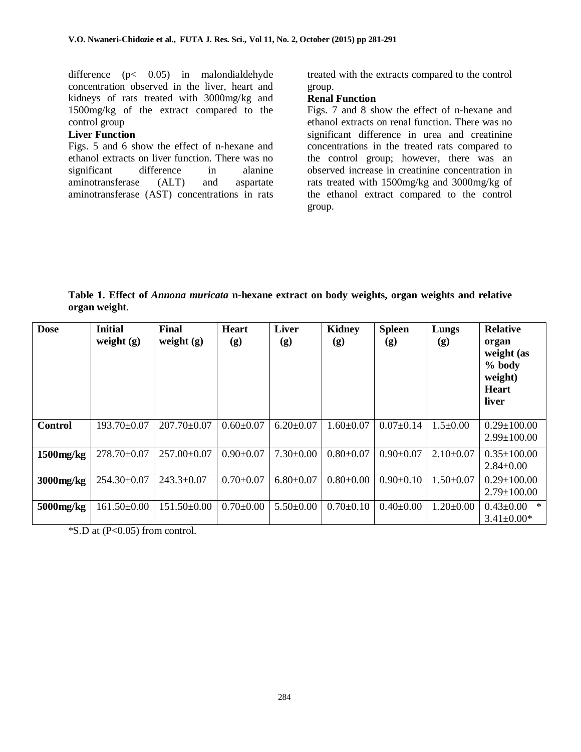difference (p< 0.05) in malondialdehyde concentration observed in the liver, heart and kidneys of rats treated with 3000mg/kg and 1500mg/kg of the extract compared to the control group

#### **Liver Function**

Figs. 5 and 6 show the effect of n-hexane and ethanol extracts on liver function. There was no significant difference in alanine aminotransferase (ALT) and aspartate aminotransferase (AST) concentrations in rats treated with the extracts compared to the control group.

#### **Renal Function**

Figs. 7 and 8 show the effect of n-hexane and ethanol extracts on renal function. There was no significant difference in urea and creatinine concentrations in the treated rats compared to the control group; however, there was an observed increase in creatinine concentration in rats treated with 1500mg/kg and 3000mg/kg of the ethanol extract compared to the control group.

**Table 1. Effect of** *Annona muricata* **n-hexane extract on body weights, organ weights and relative organ weight**.

| <b>Dose</b>     | <b>Initial</b><br>weight $(g)$ | Final<br>weight $(g)$ | <b>Heart</b><br>(g) | Liver<br>(g)    | <b>Kidney</b><br>(g) | <b>Spleen</b><br>(g) | Lungs<br>(g)    | <b>Relative</b><br>organ<br>weight (as<br>% body<br>weight)<br><b>Heart</b><br>liver |
|-----------------|--------------------------------|-----------------------|---------------------|-----------------|----------------------|----------------------|-----------------|--------------------------------------------------------------------------------------|
| Control         | 193.70±0.07                    | $207.70 \pm 0.07$     | $0.60 \pm 0.07$     | $6.20 \pm 0.07$ | $1.60 \pm 0.07$      | $0.07 \pm 0.14$      | $1.5 \pm 0.00$  | $0.29 \pm 100.00$<br>$2.99 \pm 100.00$                                               |
| $1500$ mg/ $kg$ | 278.70±0.07                    | 257.00±0.07           | $0.90 \pm 0.07$     | $7.30 \pm 0.00$ | $0.80 \pm 0.07$      | $0.90 \pm 0.07$      | $2.10\pm0.07$   | $0.35 \pm 100.00$<br>$2.84 \pm 0.00$                                                 |
| 3000mg/kg       | $254.30\pm0.07$                | $243.3 \pm 0.07$      | $0.70 \pm 0.07$     | $6.80 \pm 0.07$ | $0.80 \pm 0.00$      | $0.90 \pm 0.10$      | $1.50 \pm 0.07$ | $0.29 \pm 100.00$<br>$2.79 \pm 100.00$                                               |
| 5000mg/kg       | $161.50 \pm 0.00$              | $151.50\pm0.00$       | $0.70 \pm 0.00$     | $5.50 \pm 0.00$ | $0.70 \pm 0.10$      | $0.40 \pm 0.00$      | $1.20 \pm 0.00$ | $\ast$<br>$0.43 \pm 0.00$<br>$3.41 \pm 0.00*$                                        |

 $\text{*S.D}$  at (P<0.05) from control.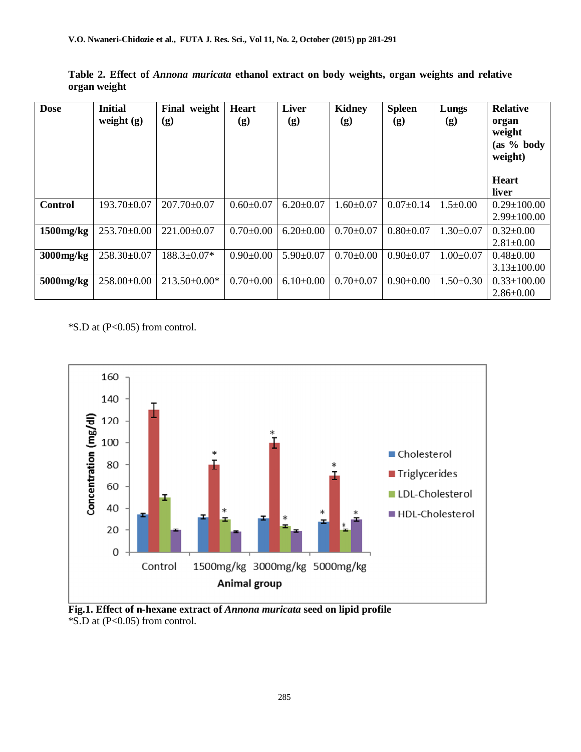| <b>Dose</b>     | <b>Initial</b><br>weight $(g)$ | Final<br>weight<br>(g) | <b>Heart</b><br>$\left( \mathbf{g}\right)$ | <b>Liver</b><br>(g) | <b>Kidney</b><br>(g) | <b>Spleen</b><br>(g) | Lungs<br>(g)    | <b>Relative</b><br>organ<br>weight<br>(as 9/6 body)<br>weight) |
|-----------------|--------------------------------|------------------------|--------------------------------------------|---------------------|----------------------|----------------------|-----------------|----------------------------------------------------------------|
|                 |                                |                        |                                            |                     |                      |                      |                 | <b>Heart</b><br>liver                                          |
| <b>Control</b>  | 193.70±0.07                    | $207.70 \pm 0.07$      | $0.60 \pm 0.07$                            | $6.20 \pm 0.07$     | $1.60 \pm 0.07$      | $0.07 \pm 0.14$      | $1.5 \pm 0.00$  | $0.29 \pm 100.00$<br>$2.99 \pm 100.00$                         |
| $1500$ mg/ $kg$ | 253.70±0.00                    | $221.00 \pm 0.07$      | $0.70 \pm 0.00$                            | $6.20 \pm 0.00$     | $0.70 \pm 0.07$      | $0.80 + 0.07$        | $1.30 \pm 0.07$ | $0.32 \pm 0.00$<br>$2.81 \pm 0.00$                             |
| 3000mg/kg       | 258.30±0.07                    | $188.3 \pm 0.07*$      | $0.90 \pm 0.00$                            | $5.90 \pm 0.07$     | $0.70 \pm 0.00$      | $0.90 \pm 0.07$      | $1.00 \pm 0.07$ | $0.48 \pm 0.00$<br>$3.13 \pm 100.00$                           |
| 5000mg/kg       | 258.00±0.00                    | $213.50\pm0.00*$       | $0.70 \pm 0.00$                            | $6.10\pm0.00$       | $0.70 \pm 0.07$      | $0.90+0.00$          | $1.50 \pm 0.30$ | $0.33 \pm 100.00$<br>$2.86 \pm 0.00$                           |

**Table 2. Effect of** *Annona muricata* **ethanol extract on body weights, organ weights and relative organ weight**



**Fig.1. Effect of n-hexane extract of** *Annona muricata* **seed on lipid profile** \*S.D at (P<0.05) from control.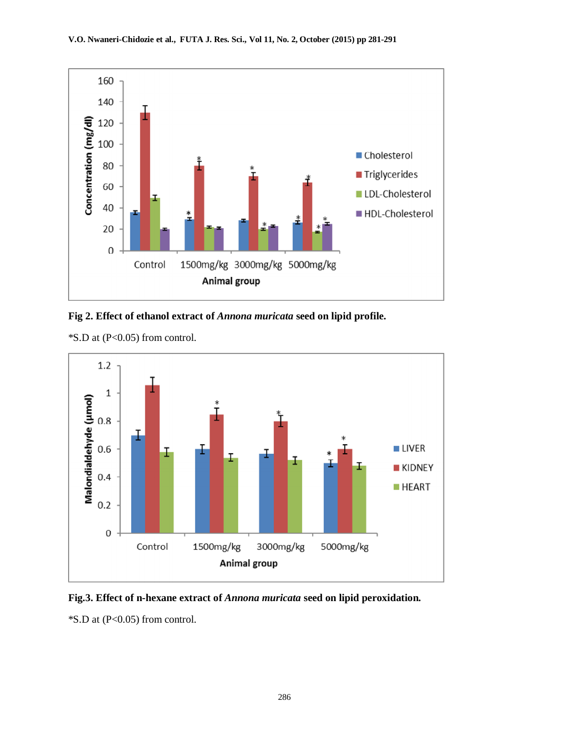

**Fig 2. Effect of ethanol extract of** *Annona muricata* **seed on lipid profile.**



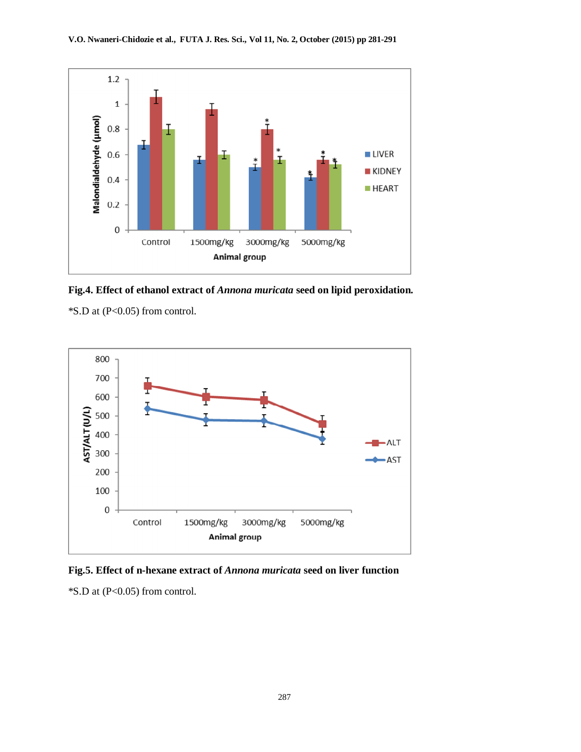

**Fig.4. Effect of ethanol extract of** *Annona muricata* **seed on lipid peroxidation.**



**Fig.5. Effect of n-hexane extract of** *Annona muricata* **seed on liver function**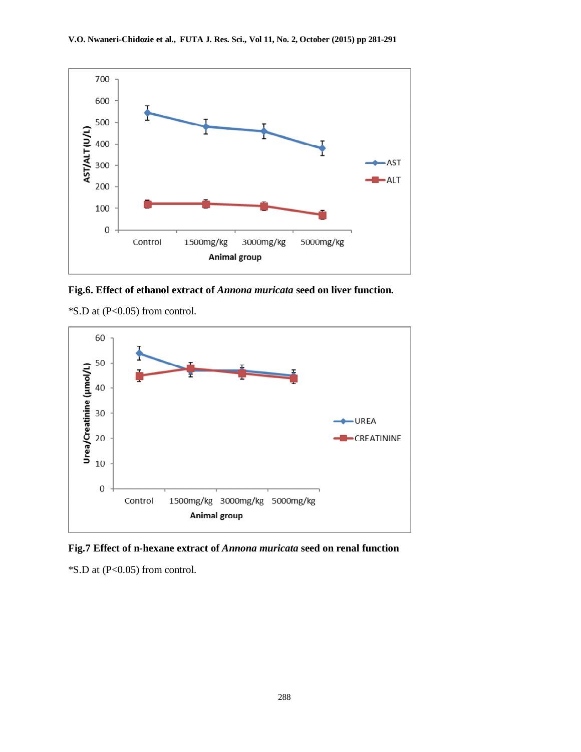

**Fig.6. Effect of ethanol extract of** *Annona muricata* **seed on liver function.**



**Fig.7 Effect of n-hexane extract of** *Annona muricata* **seed on renal function**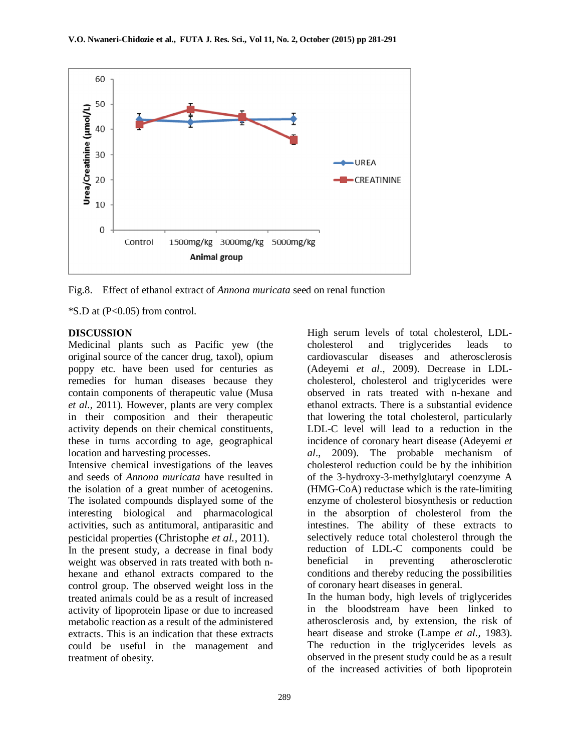

Fig.8. Effect of ethanol extract of *Annona muricata* seed on renal function

 $\text{*S.D}$  at (P<0.05) from control.

#### **DISCUSSION**

Medicinal plants such as Pacific yew (the original source of the cancer drug, taxol), opium poppy etc. have been used for centuries as remedies for human diseases because they contain components of therapeutic value (Musa *et al.,* 2011). However, plants are very complex in their composition and their therapeutic activity depends on their chemical constituents, these in turns according to age, geographical location and harvesting processes.

Intensive chemical investigations of the leaves and seeds of *Annona muricata* have resulted in the isolation of a great number of acetogenins. The isolated compounds displayed some of the interesting biological and pharmacological activities, such as antitumoral, antiparasitic and pesticidal properties (Christophe *et al.,* 2011). In the present study, a decrease in final body weight was observed in rats treated with both nhexane and ethanol extracts compared to the control group. The observed weight loss in the treated animals could be as a result of increased activity of lipoprotein lipase or due to increased metabolic reaction as a result of the administered extracts. This is an indication that these extracts could be useful in the management and treatment of obesity.

High serum levels of total cholesterol, LDLcholesterol and triglycerides leads to cardiovascular diseases and atherosclerosis (Adeyemi *et al*., 2009). Decrease in LDLcholesterol, cholesterol and triglycerides were observed in rats treated with n-hexane and ethanol extracts. There is a substantial evidence that lowering the total cholesterol, particularly LDL-C level will lead to a reduction in the incidence of coronary heart disease (Adeyemi *et al*., 2009). The probable mechanism of cholesterol reduction could be by the inhibition of the 3-hydroxy-3-methylglutaryl coenzyme A (HMG-CoA) reductase which is the rate-limiting enzyme of cholesterol biosynthesis or reduction in the absorption of cholesterol from the intestines. The ability of these extracts to selectively reduce total cholesterol through the reduction of LDL-C components could be beneficial in preventing atherosclerotic conditions and thereby reducing the possibilities of coronary heart diseases in general.

In the human body, high levels of triglycerides in the bloodstream have been linked to atherosclerosis and, by extension, the risk of heart disease and stroke (Lampe *et al.,* 1983). The reduction in the triglycerides levels as observed in the present study could be as a result of the increased activities of both lipoprotein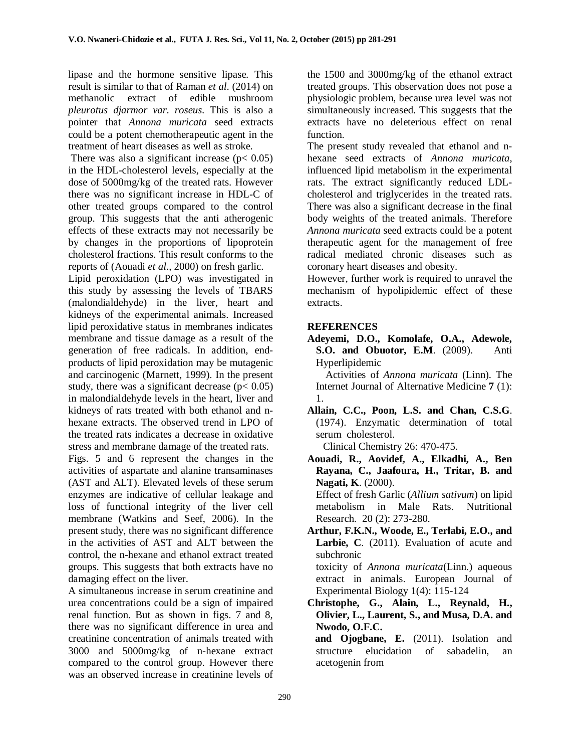lipase and the hormone sensitive lipase. This result is similar to that of Raman *et al*. (2014) on methanolic extract of edible mushroom *pleurotus djarmor var. roseus*. This is also a pointer that *Annona muricata* seed extracts could be a potent chemotherapeutic agent in the treatment of heart diseases as well as stroke.

There was also a significant increase  $(p < 0.05)$ in the HDL-cholesterol levels, especially at the dose of 5000mg/kg of the treated rats. However there was no significant increase in HDL-C of other treated groups compared to the control group. This suggests that the anti atherogenic effects of these extracts may not necessarily be by changes in the proportions of lipoprotein cholesterol fractions. This result conforms to the reports of (Aouadi *et al.,* 2000) on fresh garlic.

Lipid peroxidation (LPO) was investigated in this study by assessing the levels of TBARS (malondialdehyde) in the liver, heart and kidneys of the experimental animals. Increased lipid peroxidative status in membranes indicates membrane and tissue damage as a result of the generation of free radicals. In addition, endproducts of lipid peroxidation may be mutagenic and carcinogenic (Marnett, 1999). In the present study, there was a significant decrease  $(p< 0.05)$ in malondialdehyde levels in the heart, liver and kidneys of rats treated with both ethanol and nhexane extracts. The observed trend in LPO of the treated rats indicates a decrease in oxidative stress and membrane damage of the treated rats.

Figs. 5 and 6 represent the changes in the activities of aspartate and alanine transaminases (AST and ALT). Elevated levels of these serum enzymes are indicative of cellular leakage and loss of functional integrity of the liver cell membrane (Watkins and Seef, 2006). In the present study, there was no significant difference in the activities of AST and ALT between the control, the n-hexane and ethanol extract treated groups. This suggests that both extracts have no damaging effect on the liver.

A simultaneous increase in serum creatinine and urea concentrations could be a sign of impaired renal function. But as shown in figs. 7 and 8, there was no significant difference in urea and creatinine concentration of animals treated with 3000 and 5000mg/kg of n-hexane extract compared to the control group. However there was an observed increase in creatinine levels of

the 1500 and 3000mg/kg of the ethanol extract treated groups. This observation does not pose a physiologic problem, because urea level was not simultaneously increased. This suggests that the extracts have no deleterious effect on renal function.

The present study revealed that ethanol and nhexane seed extracts of *Annona muricata*, influenced lipid metabolism in the experimental rats. The extract significantly reduced LDLcholesterol and triglycerides in the treated rats. There was also a significant decrease in the final body weights of the treated animals. Therefore *Annona muricata* seed extracts could be a potent therapeutic agent for the management of free radical mediated chronic diseases such as coronary heart diseases and obesity.

However, further work is required to unravel the mechanism of hypolipidemic effect of these extracts.

# **REFERENCES**

**Adeyemi, D.O., Komolafe, O.A., Adewole, S.O. and Obuotor, E.M**. (2009). Anti Hyperlipidemic

Activities of *Annona muricata* (Linn). The Internet Journal of Alternative Medicine **7** (1): 1.

**Allain, C.C., Poon, L.S. and Chan, C.S.G**. (1974). Enzymatic determination of total serum cholesterol.

Clinical Chemistry 26: 470-475.

**Aouadi, R., Aovidef, A., Elkadhi, A., Ben Rayana, C., Jaafoura, H., Tritar, B. and Nagati, K**. (2000).

Effect of fresh Garlic (*Allium sativum*) on lipid metabolism in Male Rats. Nutritional Research. 20 (2): 273-280.

**Arthur, F.K.N., Woode, E., Terlabi, E.O., and Larbie, C**. (2011). Evaluation of acute and subchronic toxicity of *Annona muricata*(Linn.) aqueous

extract in animals. European Journal of Experimental Biology 1(4): 115-124

**Christophe, G., Alain, L., Reynald, H., Olivier, L., Laurent, S., and Musa, D.A. and Nwodo, O.F.C.** 

 **and Ojogbane, E.** (2011). Isolation and structure elucidation of sabadelin, an acetogenin from